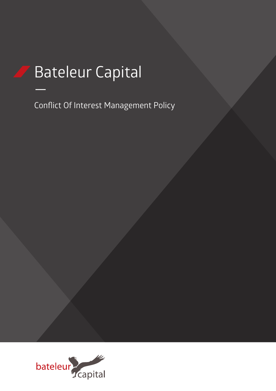## Bateleur Capital —

Conflict Of Interest Management Policy

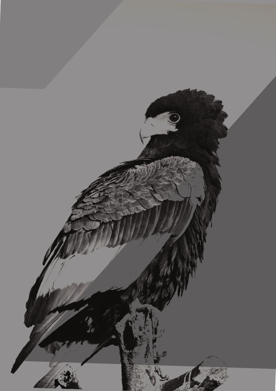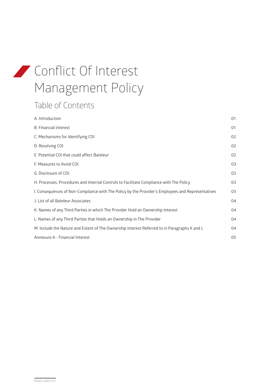### Conflict Of Interest Management Policy

### Table of Contents

| A. Introduction                                                                                   | 01 |
|---------------------------------------------------------------------------------------------------|----|
| <b>B.</b> Financial Interest                                                                      | 01 |
| C. Mechanisms for Identifying COI                                                                 | 02 |
| D. Resolving COI                                                                                  | 02 |
| E. Potential COI that could affect Bateleur                                                       | 02 |
| F. Measures to Avoid COI:                                                                         | 03 |
| G. Disclosure of COI:                                                                             | 03 |
| H. Processes, Procedures and Internal Controls to Facilitate Compliance with The Policy           | 03 |
| I. Consequences of Non-Compliance with The Policy by the Provider's Employees and Representatives | 03 |
| J. List of all Bateleur Associates                                                                | 04 |
| K. Names of any Third Parties in which The Provider Hold an Ownership Interest                    | 04 |
| L. Names of any Third Parties that Holds an Ownership in The Provider                             | 04 |
| M. Include the Nature and Extent of The Ownership Interest Referred to in Paragraphs K and L      | 04 |
| Annexure A - Financial Interest                                                                   | 05 |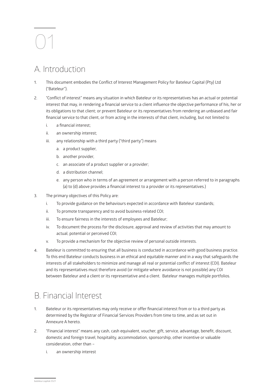#### A. Introduction

- 1. This document embodies the Conflict of Interest Management Policy for Bateleur Capital (Pty) Ltd ("Bateleur").
- 2. "Conflict of interest" means any situation in which Bateleur or its representatives has an actual or potential interest that may, in rendering a financial service to a client influence the objective performance of his, her or its obligations to that client; or prevent Bateleur or its representatives from rendering an unbiased and fair financial service to that client, or from acting in the interests of that client, including, but not limited to
	- i a financial interest<sup>;</sup>
	- ii. an ownership interest;
	- iii. any relationship with a third party ("third party") means
		- a. a product supplier,
		- b. another provider,
		- c. an associate of a product supplier or a provider;
		- d. a distribution channel;
		- e. any person who in terms of an agreement or arrangement with a person referred to in paragraphs (a) to (d) above provides a financial interest to a provider or its representatives.)
- 3. The primary objectives of this Policy are:
	- i. To provide guidance on the behaviours expected in accordance with Bateleur standards;
	- ii. To promote transparency and to avoid business-related COI;
	- iii. To ensure fairness in the interests of employees and Bateleur;
	- iv. To document the process for the disclosure, approval and review of activities that may amount to actual, potential or perceived COI;
	- v. To provide a mechanism for the objective review of personal outside interests.
- 4. Bateleur is committed to ensuring that all business is conducted in accordance with good business practice. To this end Bateleur conducts business in an ethical and equitable manner and in a way that safeguards the interests of all stakeholders to minimize and manage all real or potential conflict of interest (COI). Bateleur and its representatives must therefore avoid (or mitigate where avoidance is not possible) any COI between Bateleur and a client or its representative and a client. Bateleur manages multiple portfolios.

#### B. Financial Interest

- 1. Bateleur or its representatives may only receive or offer financial interest from or to a third party as determined by the Registrar of Financial Services Providers from time to time, and as set out in Annexure A hereto.
- 2. "Financial interest" means any cash, cash equivalent, voucher, gift, service, advantage, benefit, discount, domestic and foreign travel, hospitality, accommodation, sponsorship, other incentive or valuable consideration, other than –
	- i. an ownership interest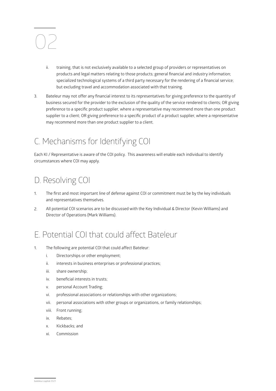

- ii. training, that is not exclusively available to a selected group of providers or representatives on products and legal matters relating to those products; general financial and industry information; specialized technological systems of a third party necessary for the rendering of a financial service; but excluding travel and accommodation associated with that training.
- 3. Bateleur may not offer any financial interest to its representatives for giving preference to the quantity of business secured for the provider to the exclusion of the quality of the service rendered to clients; OR giving preference to a specific product supplier, where a representative may recommend more than one product supplier to a client; OR giving preference to a specific product of a product supplier, where a representative may recommend more than one product supplier to a client.

#### C. Mechanisms for Identifying COI

Each KI / Representative is aware of the COI policy. This awareness will enable each individual to identify circumstances where COI may apply.

### D. Resolving COI

- 1. The first and most important line of defense against COI or commitment must be by the key individuals and representatives themselves.
- 2. All potential COI scenarios are to be discussed with the Key Individual & Director (Kevin Williams) and Director of Operations (Mark Williams).

#### E. Potential COI that could affect Bateleur

- 1. The following are potential COI that could affect Bateleur:
	- i. Directorships or other employment;
	- ii. interests in business enterprises or professional practices;
	- iii. share ownership;
	- iv. beneficial interests in trusts;
	- v. personal Account Trading;
	- vi. professional associations or relationships with other organizations;
	- vii. personal associations with other groups or organizations, or family relationships;
	- viii. Front running;
	- ix. Rebates;
	- x. Kickbacks; and
	- xi. Commission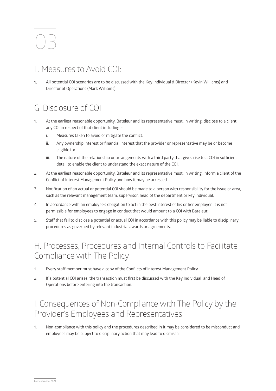#### F. Measures to Avoid COI:

1. All potential COI scenarios are to be discussed with the Key Individual & Director (Kevin Williams) and Director of Operations (Mark Williams).

#### G. Disclosure of COI:

- 1. At the earliest reasonable opportunity, Bateleur and its representative must, in writing, disclose to a client any COI in respect of that client including –
	- i. Measures taken to avoid or mitigate the conflict;
	- ii. Any ownership interest or financial interest that the provider or representative may be or become eligible for;
	- iii. The nature of the relationship or arrangements with a third party that gives rise to a COI in sufficient detail to enable the client to understand the exact nature of the COI.
- 2. At the earliest reasonable opportunity, Bateleur and its representative must, in writing, inform a client of the Conflict of Interest Management Policy and how it may be accessed.
- 3. Notification of an actual or potential COI should be made to a person with responsibility for the issue or area, such as the relevant management team, supervisor, head of the department or key individual.
- 4. In accordance with an employee's obligation to act in the best interest of his or her employer, it is not permissible for employees to engage in conduct that would amount to a COI with Bateleur.
- 5. Staff that fail to disclose a potential or actual COI in accordance with this policy may be liable to disciplinary procedures as governed by relevant industrial awards or agreements.

#### H. Processes, Procedures and Internal Controls to Facilitate Compliance with The Policy

- 1. Every staff member must have a copy of the Conflicts of interest Management Policy.
- 2. If a potential COI arises, the transaction must first be discussed with the Key Individual and Head of Operations before entering into the transaction.

#### I. Consequences of Non-Compliance with The Policy by the Provider's Employees and Representatives

1. Non-compliance with this policy and the procedures described in it may be considered to be misconduct and employees may be subject to disciplinary action that may lead to dismissal.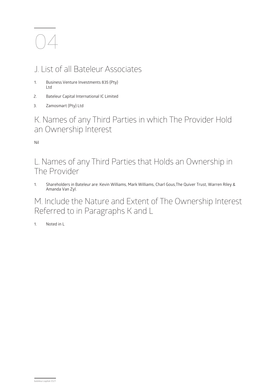### J. List of all Bateleur Associates

- 1. Business Venture Investments 835 (Pty) Ltd
- 2. Bateleur Capital International IC Limited
- 3. Zamosmart (Pty) Ltd

#### K. Names of any Third Parties in which The Provider Hold an Ownership Interest

Nil

L. Names of any Third Parties that Holds an Ownership in The Provider

1. Shareholders in Bateleur are: Kevin Williams, Mark Williams, Charl Gous,The Quiver Trust, Warren Riley & Amanda Van Zyl.

M. Include the Nature and Extent of The Ownership Interest Referred to in Paragraphs K and L

1. Noted in L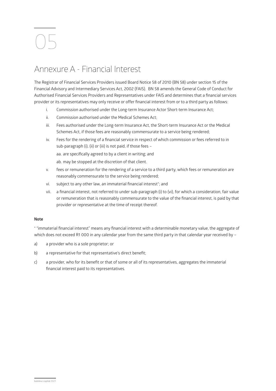#### Annexure A - Financial Interest

The Registrar of Financial Services Providers issued Board Notice 58 of 2010 (BN 58) under section 15 of the Financial Advisory and Intermediary Services Act, 2002 (FAIS). BN 58 amends the General Code of Conduct for Authorised Financial Services Providers and Representatives under FAIS and determines that a financial services provider or its representatives may only receive or offer financial interest from or to a third party as follows:

- i. Commission authorised under the Long-term Insurance Actor Short-term Insurance Act;
- ii. Commission authorised under the Medical Schemes Act;
- iii. Fees authorised under the Long-term Insurance Act, the Short-term Insurance Act or the Medical Schemes Act, if those fees are reasonably commensurate to a service being rendered;
- iv. Fees for the rendering of a financial service in respect of which commission or fees referred to in sub-paragraph (i), (ii) or (iii) is not paid, if those fees –
	- aa. are specifically agreed to by a client in writing; and
	- ab. may be stopped at the discretion of that client.
- v. fees or remuneration for the rendering of a service to a third party, which fees or remuneration are reasonably commensurate to the service being rendered;
- vi. subject to any other law, an immaterial financial interest\*; and
- vii. a financial interest, not referred to under sub-paragraph (i) to (vi), for which a consideration, fair value or remuneration that is reasonably commensurate to the value of the financial interest, is paid by that provider or representative at the time of receipt thereof.

#### **Note**

\* "immaterial financial interest" means any financial interest with a determinable monetary value, the aggregate of which does not exceed R1 000 in any calendar year from the same third party in that calendar year received by -

- a) a provider who is a sole proprietor; or
- b) a representative for that representative's direct benefit;
- c) a provider, who for its benefit or that of some or all of its representatives, aggregates the immaterial financial interest paid to its representatives.